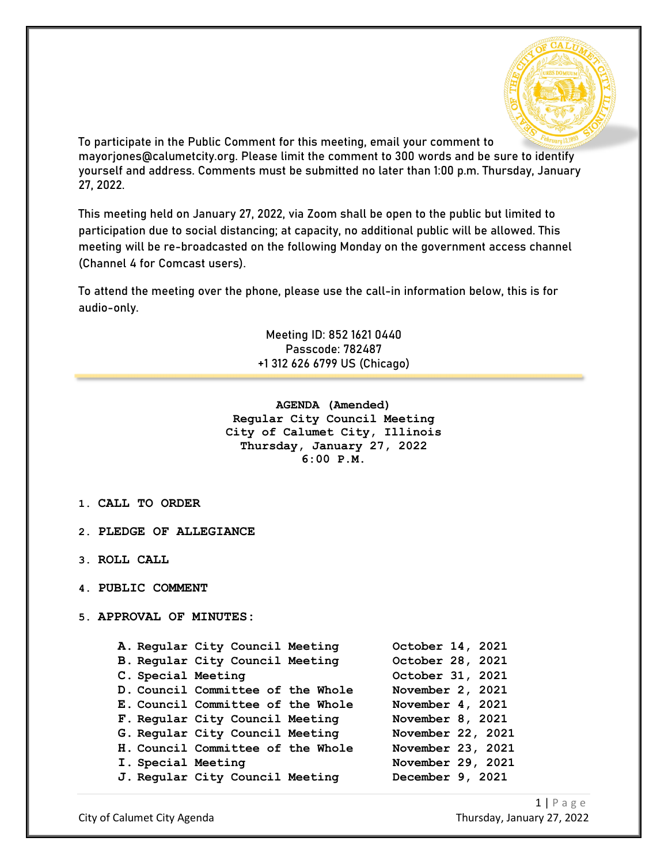

To participate in the Public Comment for this meeting, email your comment to mayorjones@calumetcity.org. Please limit the comment to 300 words and be sure to identify yourself and address. Comments must be submitted no later than 1:00 p.m. Thursday, January 27, 2022.

This meeting held on January 27, 2022, via Zoom shall be open to the public but limited to participation due to social distancing; at capacity, no additional public will be allowed. This meeting will be re-broadcasted on the following Monday on the government access channel (Channel 4 for Comcast users).

To attend the meeting over the phone, please use the call-in information below, this is for audio-only.

> Meeting ID: 852 1621 0440 Passcode: 782487 +1 312 626 6799 US (Chicago)

**AGENDA (Amended) Regular City Council Meeting City of Calumet City, Illinois Thursday, January 27, 2022 6:00 P.M.**

- **1. CALL TO ORDER**
- **2. PLEDGE OF ALLEGIANCE**
- **3. ROLL CALL**
- **4. PUBLIC COMMENT**
- **5. APPROVAL OF MINUTES:**

|                    | A. Regular City Council Meeting   | October 14, 2021  |
|--------------------|-----------------------------------|-------------------|
|                    | B. Regular City Council Meeting   | October 28, 2021  |
| C. Special Meeting |                                   | October 31, 2021  |
|                    | D. Council Committee of the Whole | November 2, 2021  |
|                    | E. Council Committee of the Whole | November 4, 2021  |
|                    | F. Regular City Council Meeting   | November 8, 2021  |
|                    | G. Regular City Council Meeting   | November 22, 2021 |
|                    | H. Council Committee of the Whole | November 23, 2021 |
| I. Special Meeting |                                   | November 29, 2021 |
|                    | J. Regular City Council Meeting   | December 9, 2021  |
|                    |                                   |                   |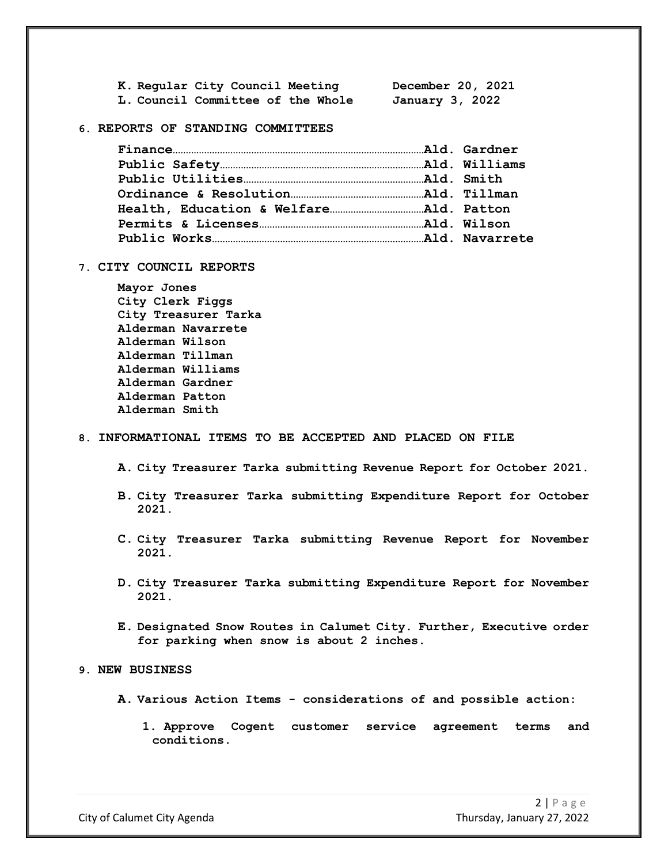| K. Regular City Council Meeting   | December 20, 2021 |
|-----------------------------------|-------------------|
| L. Council Committee of the Whole | January 3, 2022   |

### **6. REPORTS OF STANDING COMMITTEES**

### **7. CITY COUNCIL REPORTS**

**Mayor Jones City Clerk Figgs City Treasurer Tarka Alderman Navarrete Alderman Wilson Alderman Tillman Alderman Williams Alderman Gardner Alderman Patton Alderman Smith**

# **8. INFORMATIONAL ITEMS TO BE ACCEPTED AND PLACED ON FILE**

- **A. City Treasurer Tarka submitting Revenue Report for October 2021.**
- **B. City Treasurer Tarka submitting Expenditure Report for October 2021.**
- **C. City Treasurer Tarka submitting Revenue Report for November 2021.**
- **D. City Treasurer Tarka submitting Expenditure Report for November 2021.**
- **E. Designated Snow Routes in Calumet City. Further, Executive order for parking when snow is about 2 inches.**

## **9. NEW BUSINESS**

- **A. Various Action Items - considerations of and possible action:**
	- **1. Approve Cogent customer service agreement terms and conditions.**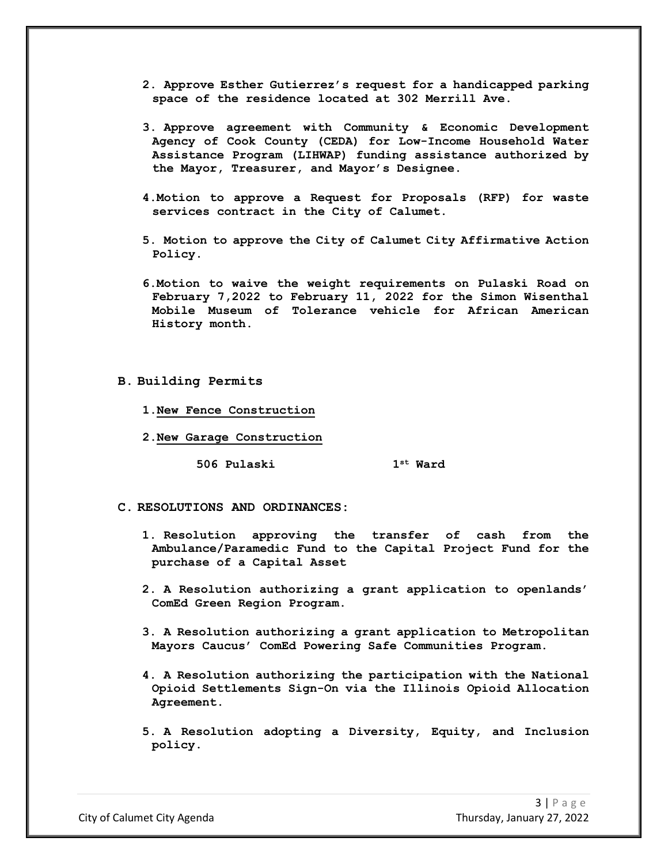- **2. Approve Esther Gutierrez's request for a handicapped parking space of the residence located at 302 Merrill Ave.**
- **3. Approve agreement with Community & Economic Development Agency of Cook County (CEDA) for Low-Income Household Water Assistance Program (LIHWAP) funding assistance authorized by the Mayor, Treasurer, and Mayor's Designee.**
- **4.Motion to approve a Request for Proposals (RFP) for waste services contract in the City of Calumet.**
- **5. Motion to approve the City of Calumet City Affirmative Action Policy.**
- **6.Motion to waive the weight requirements on Pulaski Road on February 7,2022 to February 11, 2022 for the Simon Wisenthal Mobile Museum of Tolerance vehicle for African American History month.**
- **B. Building Permits**
	- **1.New Fence Construction**
	- **2.New Garage Construction**

**506 Pulaski 1st Ward**

- **C. RESOLUTIONS AND ORDINANCES:**
	- **1. Resolution approving the transfer of cash from the Ambulance/Paramedic Fund to the Capital Project Fund for the purchase of a Capital Asset**
	- **2. A Resolution authorizing a grant application to openlands' ComEd Green Region Program.**
	- **3. A Resolution authorizing a grant application to Metropolitan Mayors Caucus' ComEd Powering Safe Communities Program.**
	- **4. A Resolution authorizing the participation with the National Opioid Settlements Sign-On via the Illinois Opioid Allocation Agreement.**
	- **5. A Resolution adopting a Diversity, Equity, and Inclusion policy.**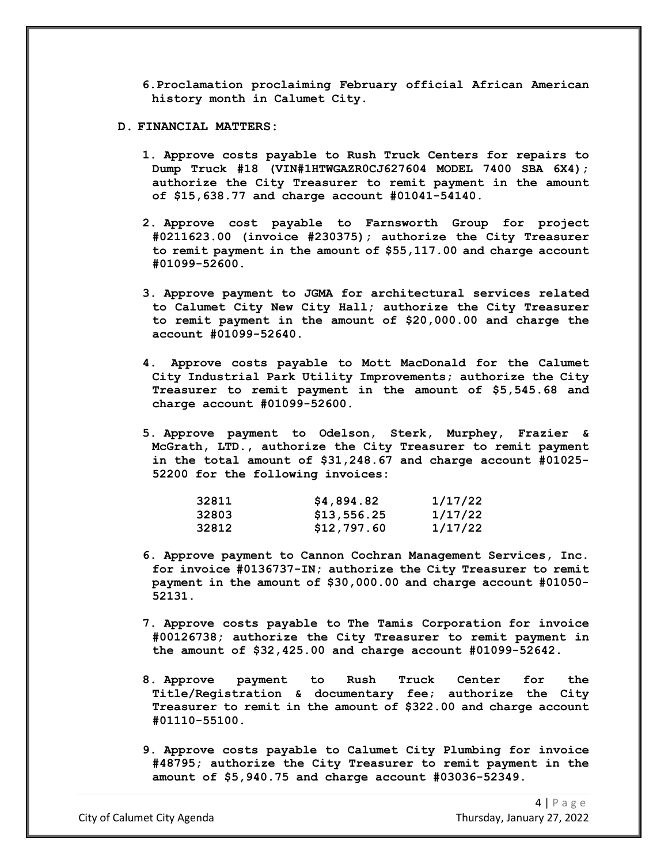**6.Proclamation proclaiming February official African American history month in Calumet City.**

## **D. FINANCIAL MATTERS:**

- **1. Approve costs payable to Rush Truck Centers for repairs to Dump Truck #18 (VIN#1HTWGAZR0CJ627604 MODEL 7400 SBA 6X4); authorize the City Treasurer to remit payment in the amount of \$15,638.77 and charge account #01041-54140.**
- **2. Approve cost payable to Farnsworth Group for project #0211623.00 (invoice #230375); authorize the City Treasurer to remit payment in the amount of \$55,117.00 and charge account #01099-52600.**
- **3. Approve payment to JGMA for architectural services related to Calumet City New City Hall; authorize the City Treasurer to remit payment in the amount of \$20,000.00 and charge the account #01099-52640.**
- **4. Approve costs payable to Mott MacDonald for the Calumet City Industrial Park Utility Improvements; authorize the City Treasurer to remit payment in the amount of \$5,545.68 and charge account #01099-52600.**
- **5. Approve payment to Odelson, Sterk, Murphey, Frazier & McGrath, LTD., authorize the City Treasurer to remit payment in the total amount of \$31,248.67 and charge account #01025- 52200 for the following invoices:**

| 32811 | \$4,894.82  | 1/17/22 |
|-------|-------------|---------|
| 32803 | \$13,556.25 | 1/17/22 |
| 32812 | \$12,797.60 | 1/17/22 |

- **6. Approve payment to Cannon Cochran Management Services, Inc. for invoice #0136737-IN; authorize the City Treasurer to remit payment in the amount of \$30,000.00 and charge account #01050- 52131.**
- **7. Approve costs payable to The Tamis Corporation for invoice #00126738; authorize the City Treasurer to remit payment in the amount of \$32,425.00 and charge account #01099-52642.**
- **8. Approve payment to Rush Truck Center for the Title/Registration & documentary fee; authorize the City Treasurer to remit in the amount of \$322.00 and charge account #01110-55100.**
- **9. Approve costs payable to Calumet City Plumbing for invoice #48795; authorize the City Treasurer to remit payment in the amount of \$5,940.75 and charge account #03036-52349.**

City of Calumet City Agenda Thursday, January 27, 2022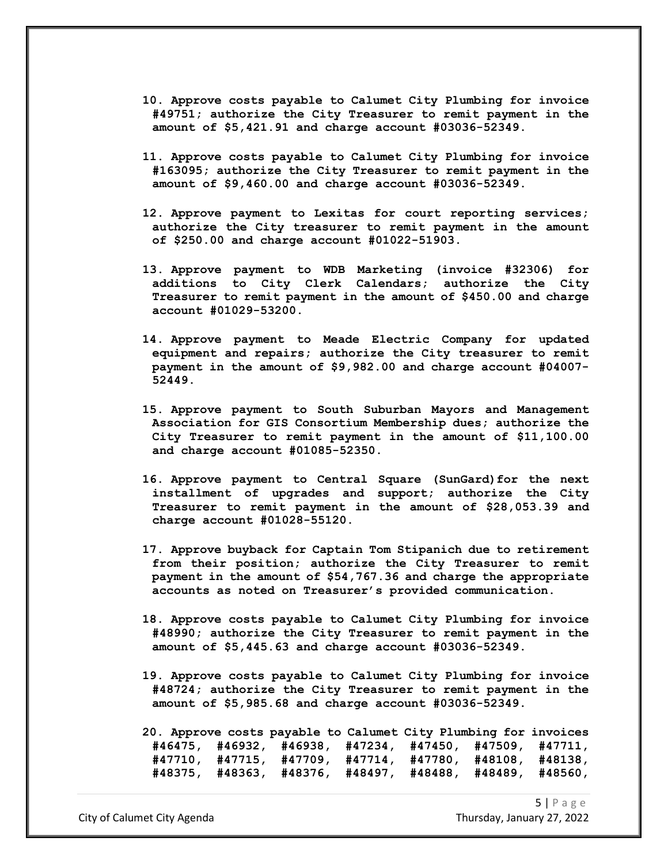- **10. Approve costs payable to Calumet City Plumbing for invoice #49751; authorize the City Treasurer to remit payment in the amount of \$5,421.91 and charge account #03036-52349.**
- **11. Approve costs payable to Calumet City Plumbing for invoice #163095; authorize the City Treasurer to remit payment in the amount of \$9,460.00 and charge account #03036-52349.**
- **12. Approve payment to Lexitas for court reporting services; authorize the City treasurer to remit payment in the amount of \$250.00 and charge account #01022-51903.**
- **13. Approve payment to WDB Marketing (invoice #32306) for additions to City Clerk Calendars; authorize the City Treasurer to remit payment in the amount of \$450.00 and charge account #01029-53200.**
- **14. Approve payment to Meade Electric Company for updated equipment and repairs; authorize the City treasurer to remit payment in the amount of \$9,982.00 and charge account #04007- 52449.**
- **15. Approve payment to South Suburban Mayors and Management Association for GIS Consortium Membership dues; authorize the City Treasurer to remit payment in the amount of \$11,100.00 and charge account #01085-52350.**
- **16. Approve payment to Central Square (SunGard)for the next installment of upgrades and support; authorize the City Treasurer to remit payment in the amount of \$28,053.39 and charge account #01028-55120.**
- **17. Approve buyback for Captain Tom Stipanich due to retirement from their position; authorize the City Treasurer to remit payment in the amount of \$54,767.36 and charge the appropriate accounts as noted on Treasurer's provided communication.**
- **18. Approve costs payable to Calumet City Plumbing for invoice #48990; authorize the City Treasurer to remit payment in the amount of \$5,445.63 and charge account #03036-52349.**
- **19. Approve costs payable to Calumet City Plumbing for invoice #48724; authorize the City Treasurer to remit payment in the amount of \$5,985.68 and charge account #03036-52349.**

**20. Approve costs payable to Calumet City Plumbing for invoices #46475, #46932, #46938, #47234, #47450, #47509, #47711, #47710, #47715, #47709, #47714, #47780, #48108, #48138, #48375, #48363, #48376, #48497, #48488, #48489, #48560,** 

City of Calumet City Agenda Thursday, January 27, 2022